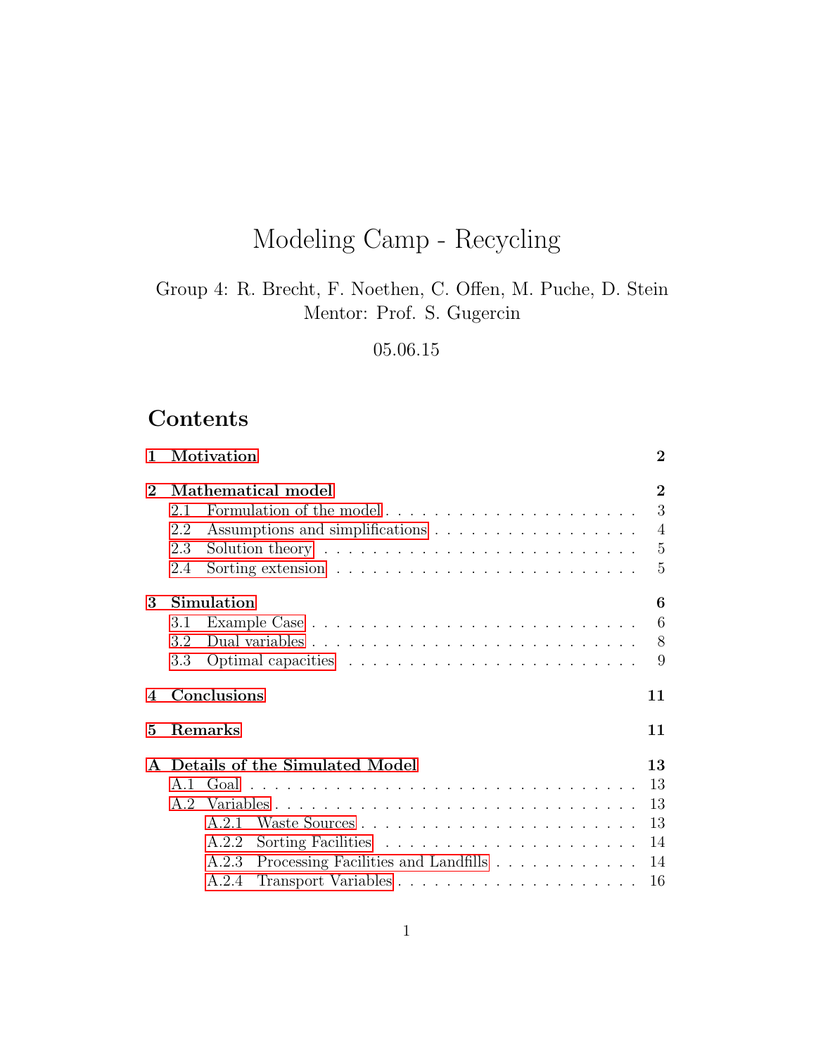# Modeling Camp - Recycling

Group 4: R. Brecht, F. Noethen, C. Offen, M. Puche, D. Stein Mentor: Prof. S. Gugercin

05.06.15

## Contents

| $\mathbf{1}$           |     | Motivation                                                                          | $\boldsymbol{2}$ |
|------------------------|-----|-------------------------------------------------------------------------------------|------------------|
| $\overline{2}$         |     | Mathematical model                                                                  | $\overline{2}$   |
|                        | 2.1 | Formulation of the model                                                            | 3                |
|                        | 2.2 |                                                                                     | $\overline{4}$   |
|                        | 2.3 | Solution theory $\dots \dots \dots \dots \dots \dots \dots \dots \dots \dots \dots$ | - 5              |
|                        | 2.4 |                                                                                     | $\overline{5}$   |
| 3                      |     | Simulation                                                                          | 6                |
|                        | 3.1 |                                                                                     | 6                |
|                        | 3.2 |                                                                                     | 8                |
|                        | 3.3 |                                                                                     | 9                |
| $\boldsymbol{\Lambda}$ |     | Conclusions                                                                         | 11               |
| 5                      |     | <b>Remarks</b>                                                                      | 11               |
|                        |     | Details of the Simulated Model                                                      | 13               |
|                        |     |                                                                                     | 13               |
|                        |     |                                                                                     | 13               |
|                        |     | A.2.1                                                                               | 13               |
|                        |     | A.2.2                                                                               | 14               |
|                        |     | Processing Facilities and Landfills 14<br>A.2.3                                     |                  |
|                        |     | A.2.4                                                                               | 16               |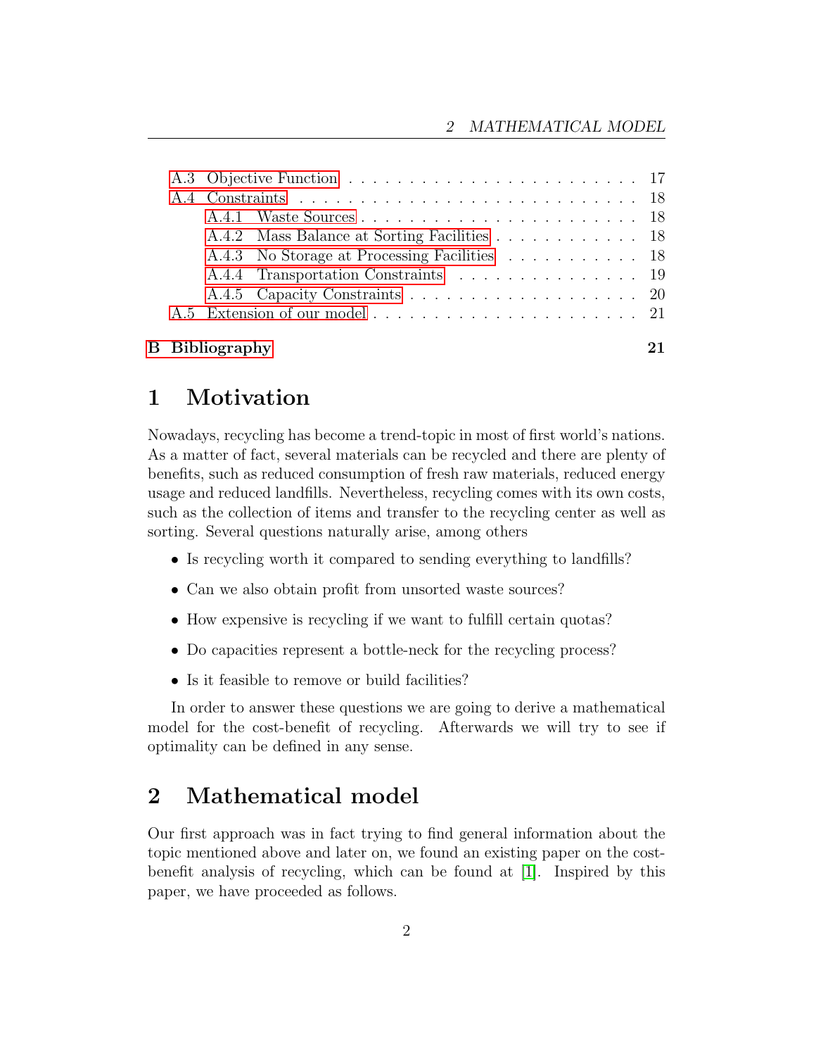|  | A.4.2 Mass Balance at Sorting Facilities 18  |  |
|--|----------------------------------------------|--|
|  | A.4.3 No Storage at Processing Facilities 18 |  |
|  | A.4.4 Transportation Constraints 19          |  |
|  |                                              |  |
|  |                                              |  |
|  |                                              |  |
|  | <b>B</b> Bibliography                        |  |

## <span id="page-1-0"></span>1 Motivation

Nowadays, recycling has become a trend-topic in most of first world's nations. As a matter of fact, several materials can be recycled and there are plenty of benefits, such as reduced consumption of fresh raw materials, reduced energy usage and reduced landfills. Nevertheless, recycling comes with its own costs, such as the collection of items and transfer to the recycling center as well as sorting. Several questions naturally arise, among others

- Is recycling worth it compared to sending everything to landfills?
- Can we also obtain profit from unsorted waste sources?
- How expensive is recycling if we want to fulfill certain quotas?
- Do capacities represent a bottle-neck for the recycling process?
- Is it feasible to remove or build facilities?

In order to answer these questions we are going to derive a mathematical model for the cost-benefit of recycling. Afterwards we will try to see if optimality can be defined in any sense.

## <span id="page-1-1"></span>2 Mathematical model

Our first approach was in fact trying to find general information about the topic mentioned above and later on, we found an existing paper on the costbenefit analysis of recycling, which can be found at [\[1\]](#page-20-2). Inspired by this paper, we have proceeded as follows.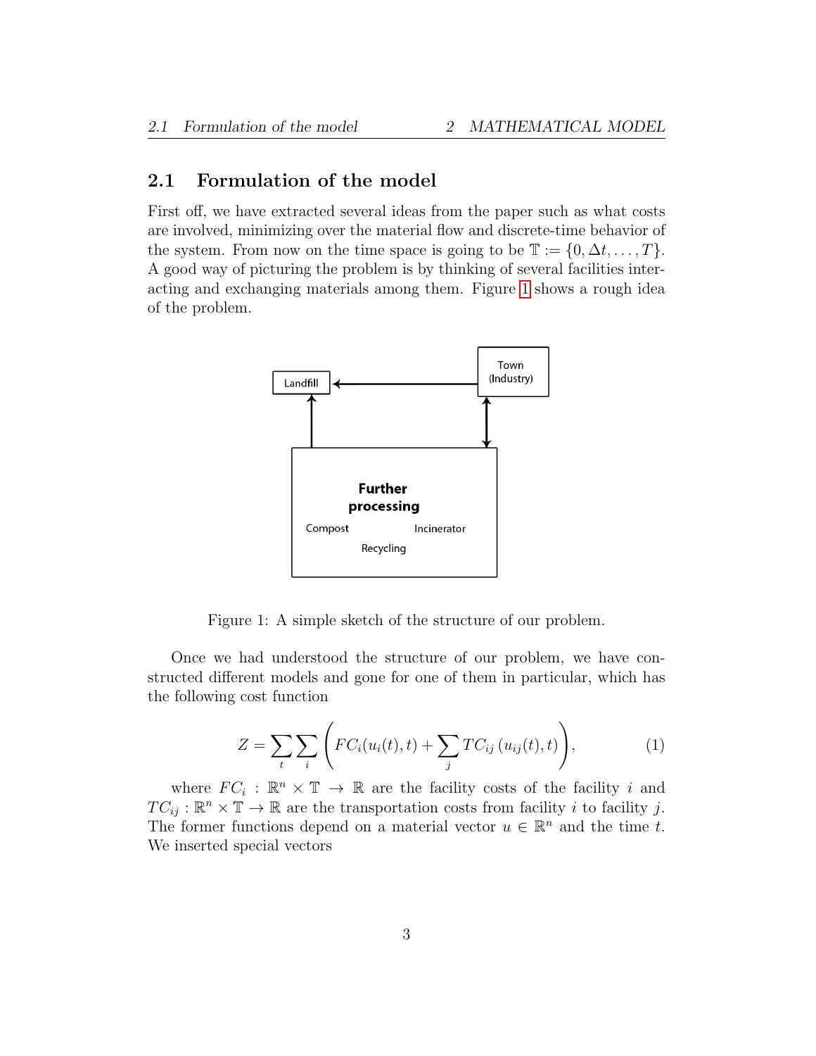### <span id="page-2-0"></span>2.1 Formulation of the model

First off, we have extracted several ideas from the paper such as what costs are involved, minimizing over the material flow and discrete-time behavior of the system. From now on the time space is going to be  $\mathbb{T} := \{0, \Delta t, \dots, T\}.$ A good way of picturing the problem is by thinking of several facilities interacting and exchanging materials among them. Figure [1](#page-2-1) shows a rough idea of the problem.



Figure 1: A simple sketch of the structure of our problem.

Once we had understood the structure of our problem, we have constructed different models and gone for one of them in particular, which has the following cost function

<span id="page-2-1"></span>
$$
Z = \sum_{t} \sum_{i} \left( FC_i(u_i(t), t) + \sum_{j} TC_{ij}(u_{ij}(t), t) \right), \tag{1}
$$

where  $FC_i : \mathbb{R}^n \times \mathbb{T} \to \mathbb{R}$  are the facility costs of the facility i and  $TC_{ij} : \mathbb{R}^n \times \mathbb{T} \to \mathbb{R}$  are the transportation costs from facility i to facility j. The former functions depend on a material vector  $u \in \mathbb{R}^n$  and the time t. We inserted special vectors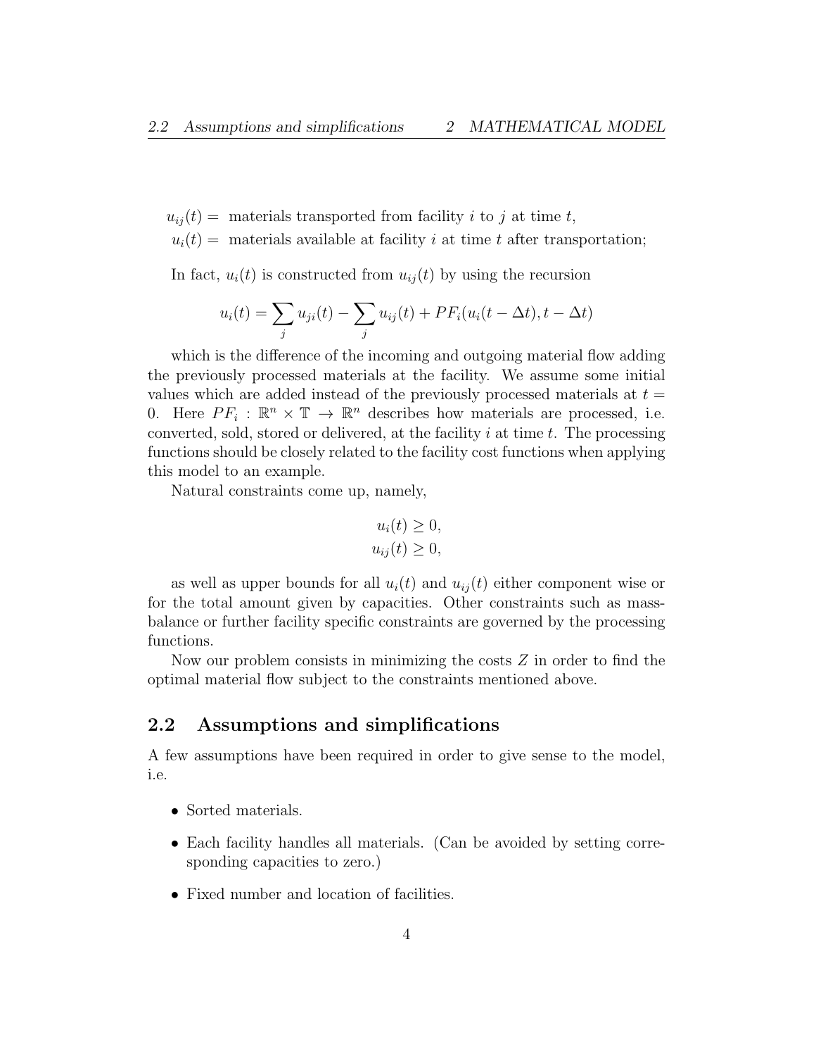$u_{ij}(t) =$  materials transported from facility i to j at time t,

 $u_i(t) =$  materials available at facility i at time t after transportation;

In fact,  $u_i(t)$  is constructed from  $u_{ij}(t)$  by using the recursion

$$
u_i(t) = \sum_j u_{ji}(t) - \sum_j u_{ij}(t) + PF_i(u_i(t - \Delta t), t - \Delta t)
$$

which is the difference of the incoming and outgoing material flow adding the previously processed materials at the facility. We assume some initial values which are added instead of the previously processed materials at  $t =$ 0. Here  $PF_i: \mathbb{R}^n \times \mathbb{T} \to \mathbb{R}^n$  describes how materials are processed, i.e. converted, sold, stored or delivered, at the facility  $i$  at time  $t$ . The processing functions should be closely related to the facility cost functions when applying this model to an example.

Natural constraints come up, namely,

$$
u_i(t) \ge 0,
$$
  

$$
u_{ij}(t) \ge 0,
$$

as well as upper bounds for all  $u_i(t)$  and  $u_{ij}(t)$  either component wise or for the total amount given by capacities. Other constraints such as massbalance or further facility specific constraints are governed by the processing functions.

Now our problem consists in minimizing the costs  $Z$  in order to find the optimal material flow subject to the constraints mentioned above.

## <span id="page-3-0"></span>2.2 Assumptions and simplifications

A few assumptions have been required in order to give sense to the model, i.e.

- Sorted materials.
- Each facility handles all materials. (Can be avoided by setting corresponding capacities to zero.)
- Fixed number and location of facilities.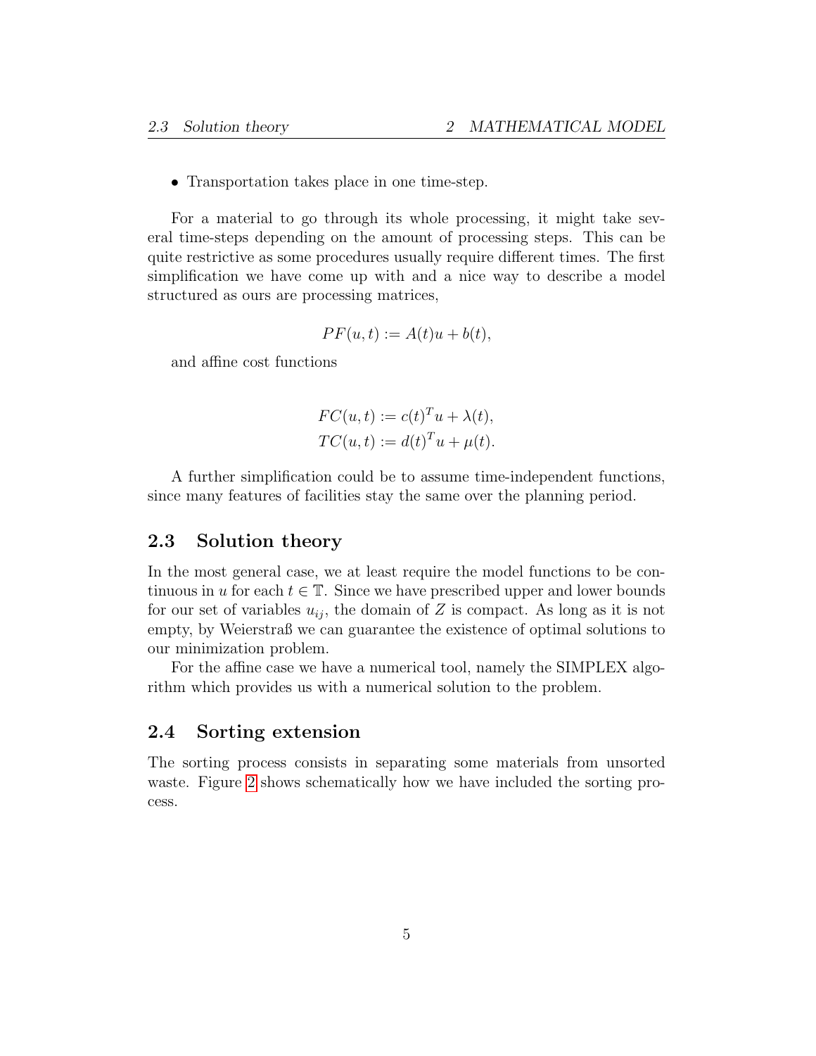• Transportation takes place in one time-step.

For a material to go through its whole processing, it might take several time-steps depending on the amount of processing steps. This can be quite restrictive as some procedures usually require different times. The first simplification we have come up with and a nice way to describe a model structured as ours are processing matrices,

$$
PF(u, t) := A(t)u + b(t),
$$

and affine cost functions

$$
FC(u, t) := c(t)^T u + \lambda(t),
$$
  
\n
$$
TC(u, t) := d(t)^T u + \mu(t).
$$

A further simplification could be to assume time-independent functions, since many features of facilities stay the same over the planning period.

### <span id="page-4-0"></span>2.3 Solution theory

In the most general case, we at least require the model functions to be continuous in u for each  $t \in \mathbb{T}$ . Since we have prescribed upper and lower bounds for our set of variables  $u_{ij}$ , the domain of Z is compact. As long as it is not empty, by Weierstraß we can guarantee the existence of optimal solutions to our minimization problem.

For the affine case we have a numerical tool, namely the SIMPLEX algorithm which provides us with a numerical solution to the problem.

### <span id="page-4-1"></span>2.4 Sorting extension

The sorting process consists in separating some materials from unsorted waste. Figure [2](#page-5-2) shows schematically how we have included the sorting process.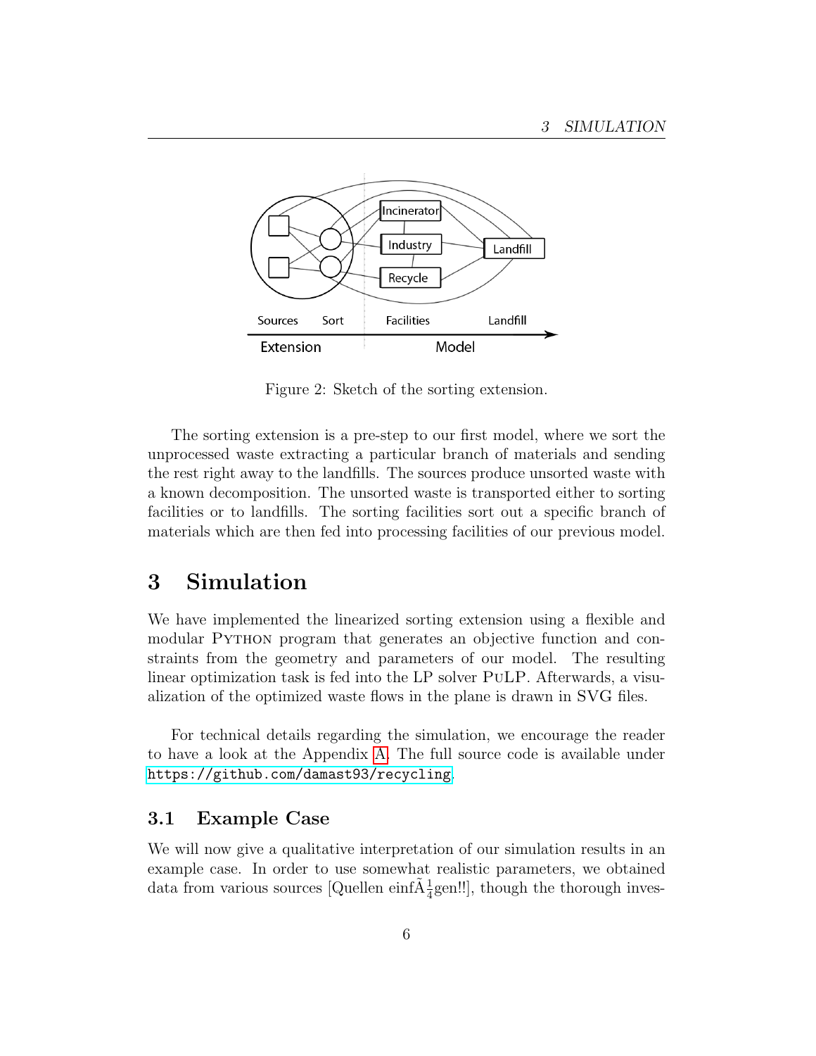

<span id="page-5-2"></span>Figure 2: Sketch of the sorting extension.

The sorting extension is a pre-step to our first model, where we sort the unprocessed waste extracting a particular branch of materials and sending the rest right away to the landfills. The sources produce unsorted waste with a known decomposition. The unsorted waste is transported either to sorting facilities or to landfills. The sorting facilities sort out a specific branch of materials which are then fed into processing facilities of our previous model.

## <span id="page-5-0"></span>3 Simulation

We have implemented the linearized sorting extension using a flexible and modular Python program that generates an objective function and constraints from the geometry and parameters of our model. The resulting linear optimization task is fed into the LP solver PuLP. Afterwards, a visualization of the optimized waste flows in the plane is drawn in SVG files.

For technical details regarding the simulation, we encourage the reader to have a look at the Appendix [A.](#page-12-0) The full source code is available under <https://github.com/damast93/recycling>.

### <span id="page-5-1"></span>3.1 Example Case

We will now give a qualitative interpretation of our simulation results in an example case. In order to use somewhat realistic parameters, we obtained data from various sources [Quellen einf $\tilde{A}^1_{\overline{4}}$ gen!!], though the thorough inves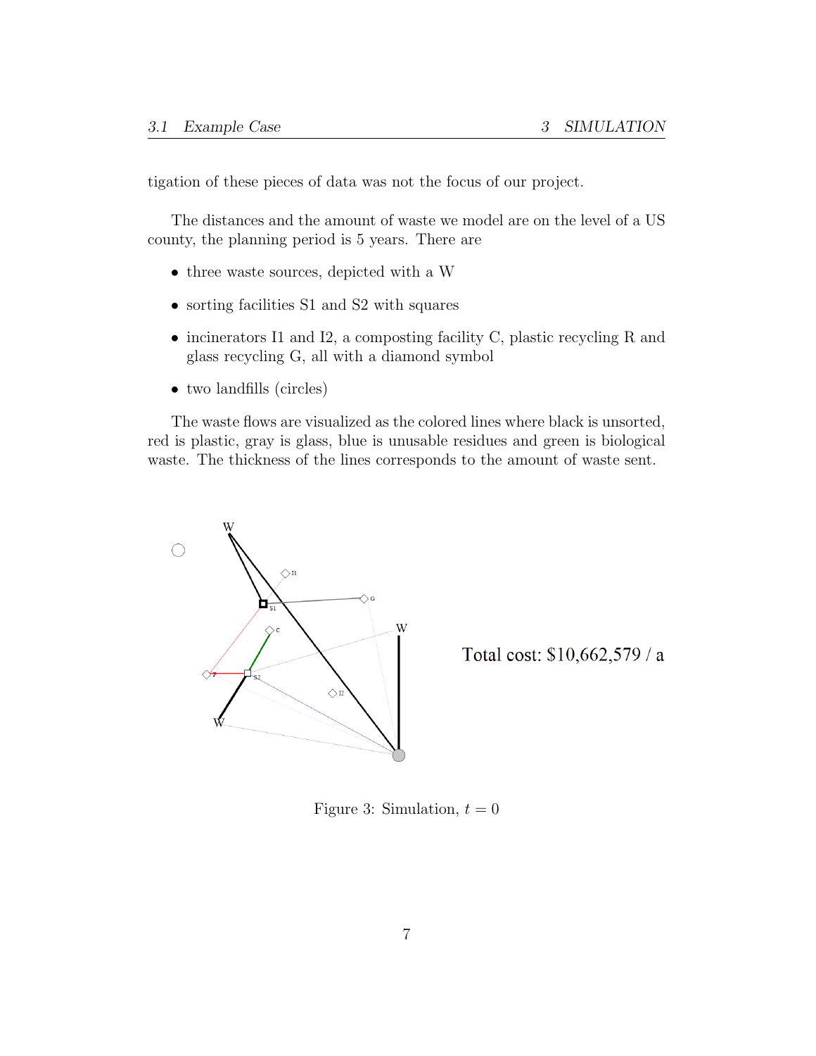tigation of these pieces of data was not the focus of our project.

The distances and the amount of waste we model are on the level of a US county, the planning period is 5 years. There are

- three waste sources, depicted with a W
- sorting facilities S1 and S2 with squares
- incinerators I1 and I2, a composting facility C, plastic recycling R and glass recycling G, all with a diamond symbol
- two landfills (circles)

The waste flows are visualized as the colored lines where black is unsorted, red is plastic, gray is glass, blue is unusable residues and green is biological waste. The thickness of the lines corresponds to the amount of waste sent.



Total cost: \$10,662,579 / a

<span id="page-6-0"></span>Figure 3: Simulation,  $t = 0$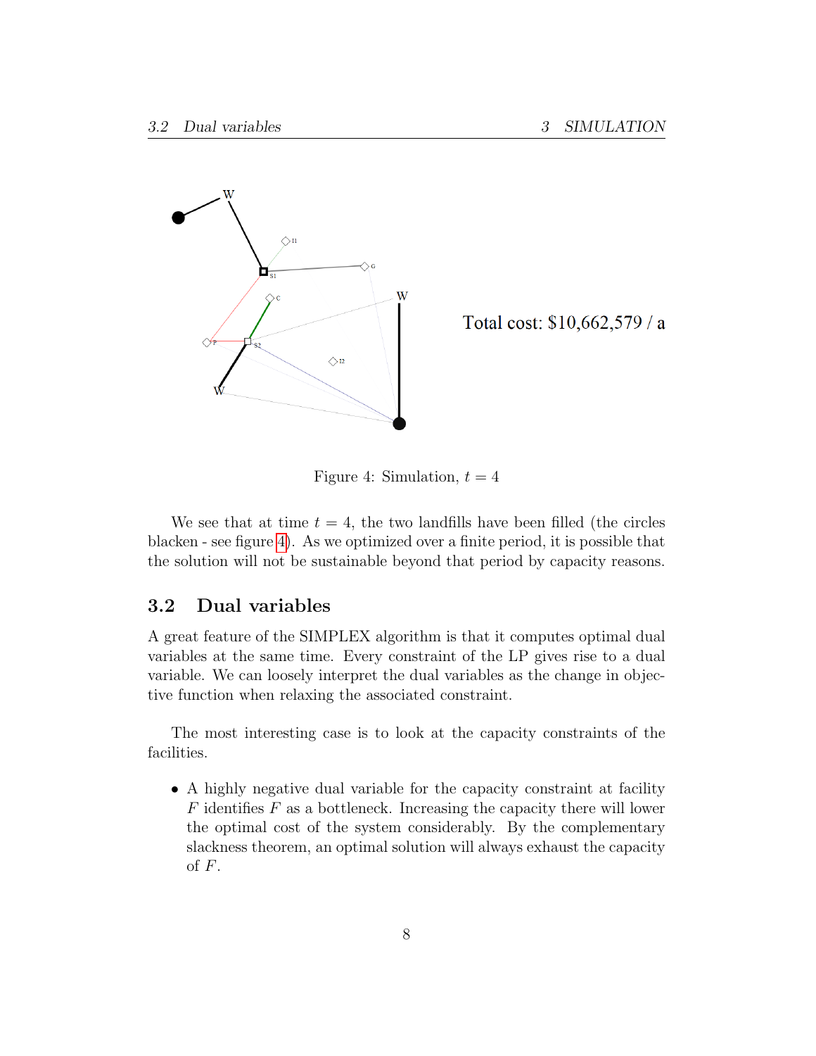

Total cost: \$10,662,579 / a

<span id="page-7-1"></span>Figure 4: Simulation,  $t = 4$ 

We see that at time  $t = 4$ , the two landfills have been filled (the circles blacken - see figure [4\)](#page-7-1). As we optimized over a finite period, it is possible that the solution will not be sustainable beyond that period by capacity reasons.

### <span id="page-7-0"></span>3.2 Dual variables

A great feature of the SIMPLEX algorithm is that it computes optimal dual variables at the same time. Every constraint of the LP gives rise to a dual variable. We can loosely interpret the dual variables as the change in objective function when relaxing the associated constraint.

The most interesting case is to look at the capacity constraints of the facilities.

• A highly negative dual variable for the capacity constraint at facility  $F$  identifies  $F$  as a bottleneck. Increasing the capacity there will lower the optimal cost of the system considerably. By the complementary slackness theorem, an optimal solution will always exhaust the capacity of  $F$ .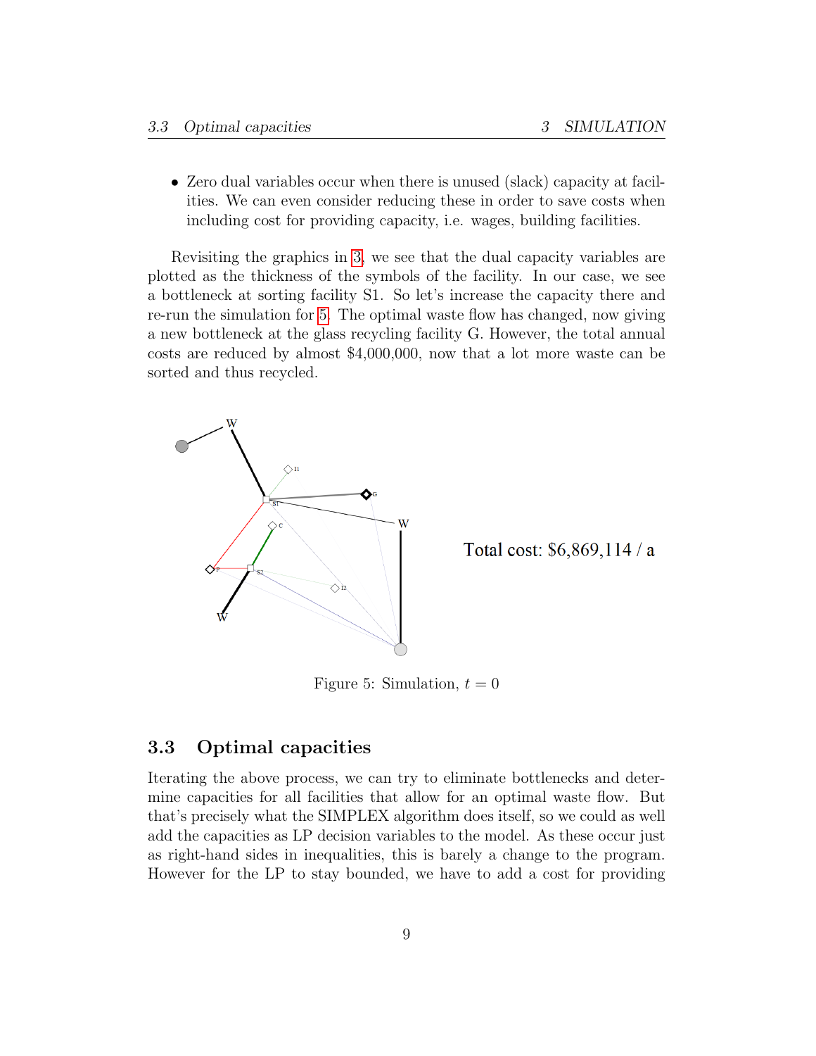• Zero dual variables occur when there is unused (slack) capacity at facilities. We can even consider reducing these in order to save costs when including cost for providing capacity, i.e. wages, building facilities.

Revisiting the graphics in [3,](#page-6-0) we see that the dual capacity variables are plotted as the thickness of the symbols of the facility. In our case, we see a bottleneck at sorting facility S1. So let's increase the capacity there and re-run the simulation for [5.](#page-8-1) The optimal waste flow has changed, now giving a new bottleneck at the glass recycling facility G. However, the total annual costs are reduced by almost \$4,000,000, now that a lot more waste can be sorted and thus recycled.



<span id="page-8-1"></span>Total cost: \$6,869,114 / a

Figure 5: Simulation,  $t = 0$ 

## <span id="page-8-0"></span>3.3 Optimal capacities

Iterating the above process, we can try to eliminate bottlenecks and determine capacities for all facilities that allow for an optimal waste flow. But that's precisely what the SIMPLEX algorithm does itself, so we could as well add the capacities as LP decision variables to the model. As these occur just as right-hand sides in inequalities, this is barely a change to the program. However for the LP to stay bounded, we have to add a cost for providing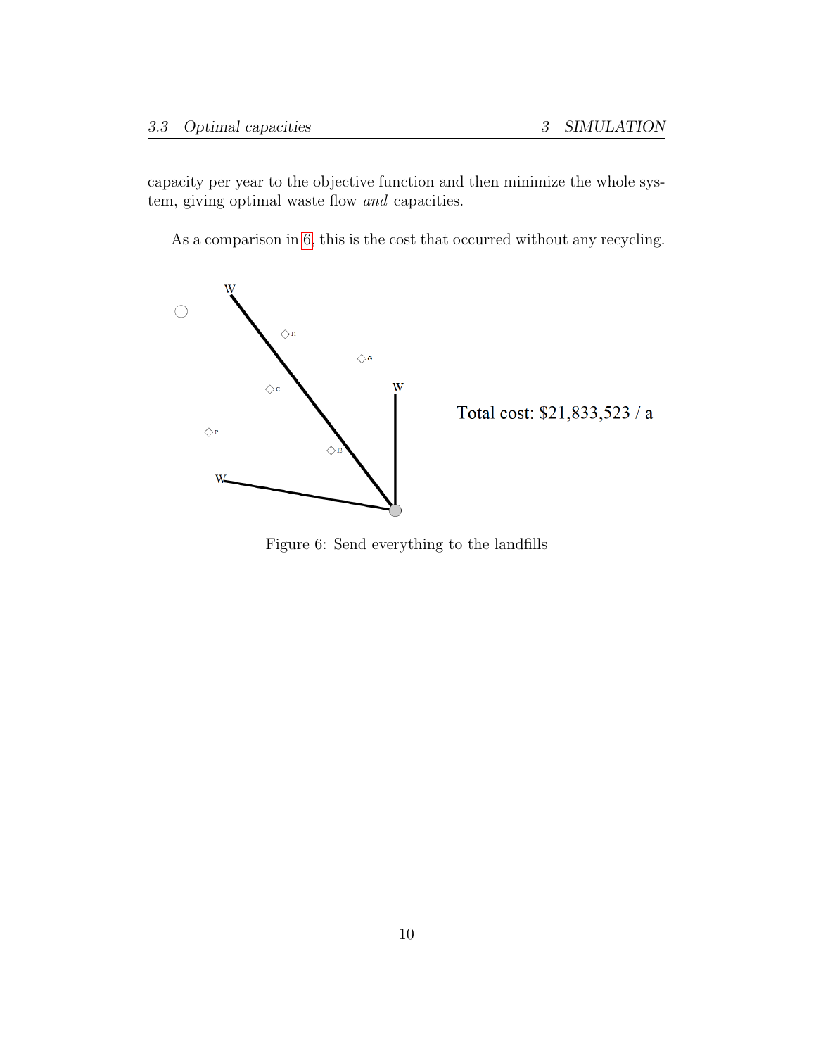capacity per year to the objective function and then minimize the whole system, giving optimal waste flow and capacities.

As a comparison in [6,](#page-9-0) this is the cost that occurred without any recycling.



<span id="page-9-0"></span>Total cost:  $$21,833,523$  /  ${\rm a}$ 

Figure 6: Send everything to the landfills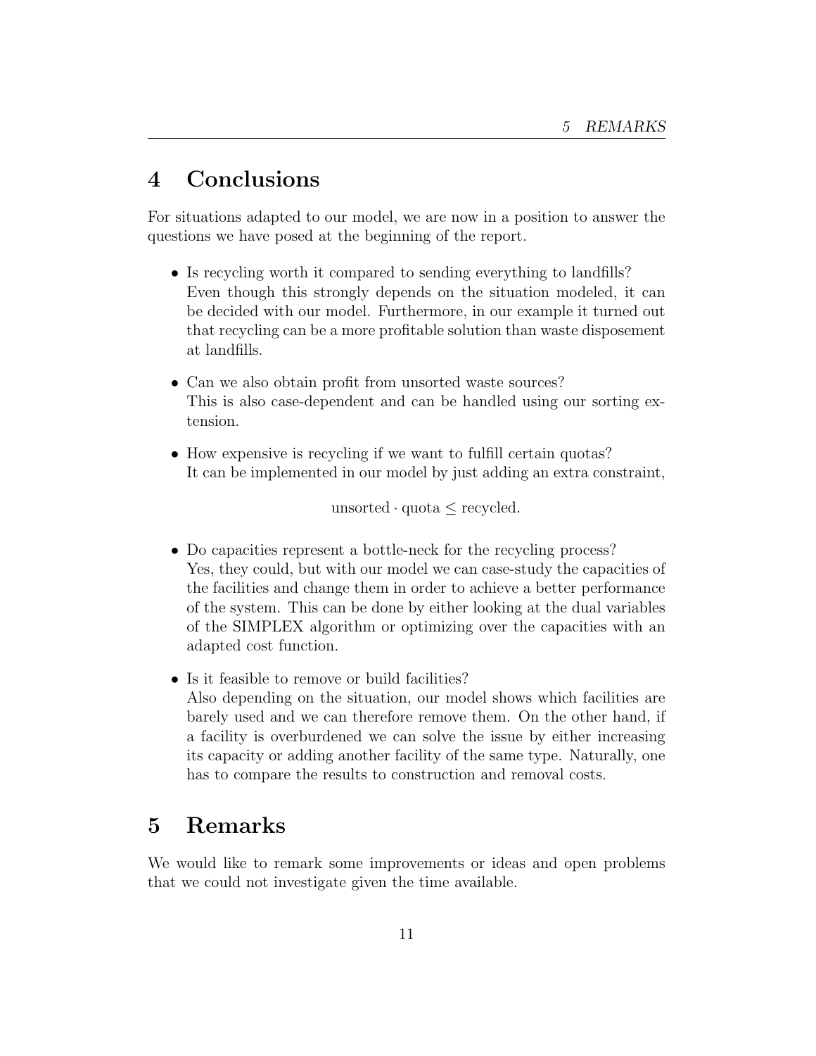## <span id="page-10-0"></span>4 Conclusions

For situations adapted to our model, we are now in a position to answer the questions we have posed at the beginning of the report.

- Is recycling worth it compared to sending everything to landfills? Even though this strongly depends on the situation modeled, it can be decided with our model. Furthermore, in our example it turned out that recycling can be a more profitable solution than waste disposement at landfills.
- Can we also obtain profit from unsorted waste sources? This is also case-dependent and can be handled using our sorting extension.
- How expensive is recycling if we want to fulfill certain quotas? It can be implemented in our model by just adding an extra constraint,

unsorted · quota ≤ recycled.

- Do capacities represent a bottle-neck for the recycling process? Yes, they could, but with our model we can case-study the capacities of the facilities and change them in order to achieve a better performance of the system. This can be done by either looking at the dual variables of the SIMPLEX algorithm or optimizing over the capacities with an adapted cost function.
- Is it feasible to remove or build facilities? Also depending on the situation, our model shows which facilities are barely used and we can therefore remove them. On the other hand, if a facility is overburdened we can solve the issue by either increasing its capacity or adding another facility of the same type. Naturally, one has to compare the results to construction and removal costs.

## <span id="page-10-1"></span>5 Remarks

We would like to remark some improvements or ideas and open problems that we could not investigate given the time available.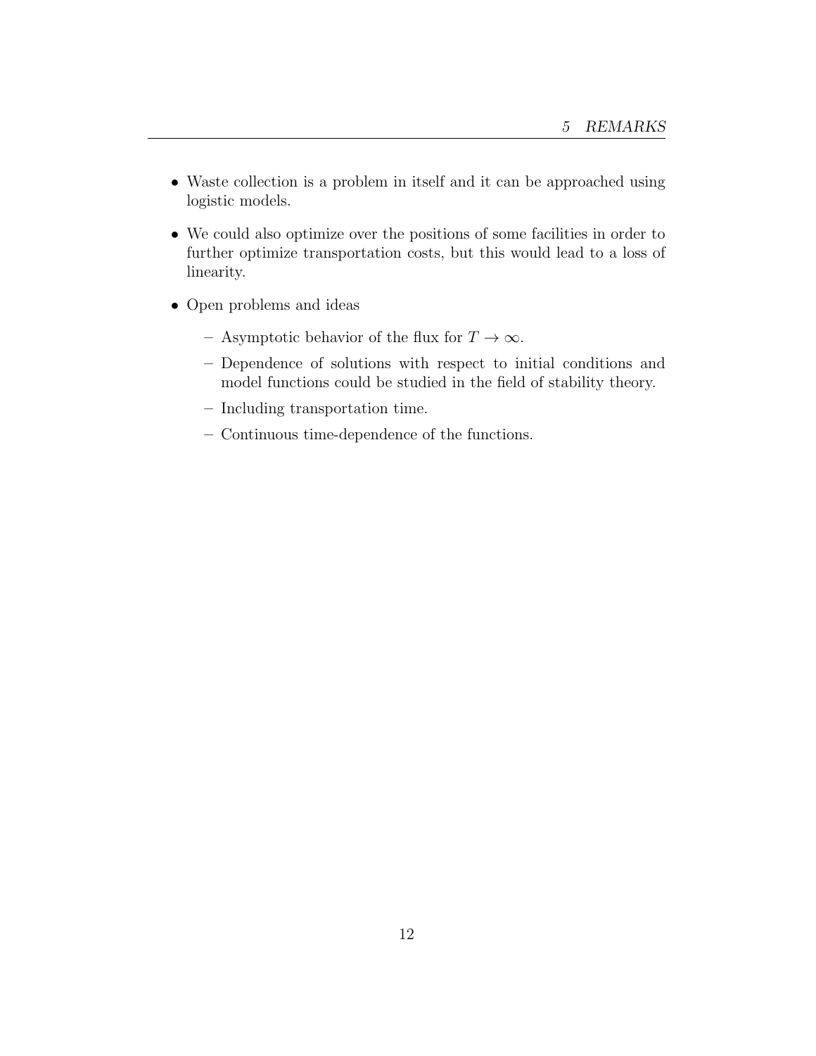- Waste collection is a problem in itself and it can be approached using logistic models.
- We could also optimize over the positions of some facilities in order to further optimize transportation costs, but this would lead to a loss of linearity.
- Open problems and ideas
	- Asymptotic behavior of the flux for  $T \to \infty$ .
	- Dependence of solutions with respect to initial conditions and model functions could be studied in the field of stability theory.
	- Including transportation time.
	- Continuous time-dependence of the functions.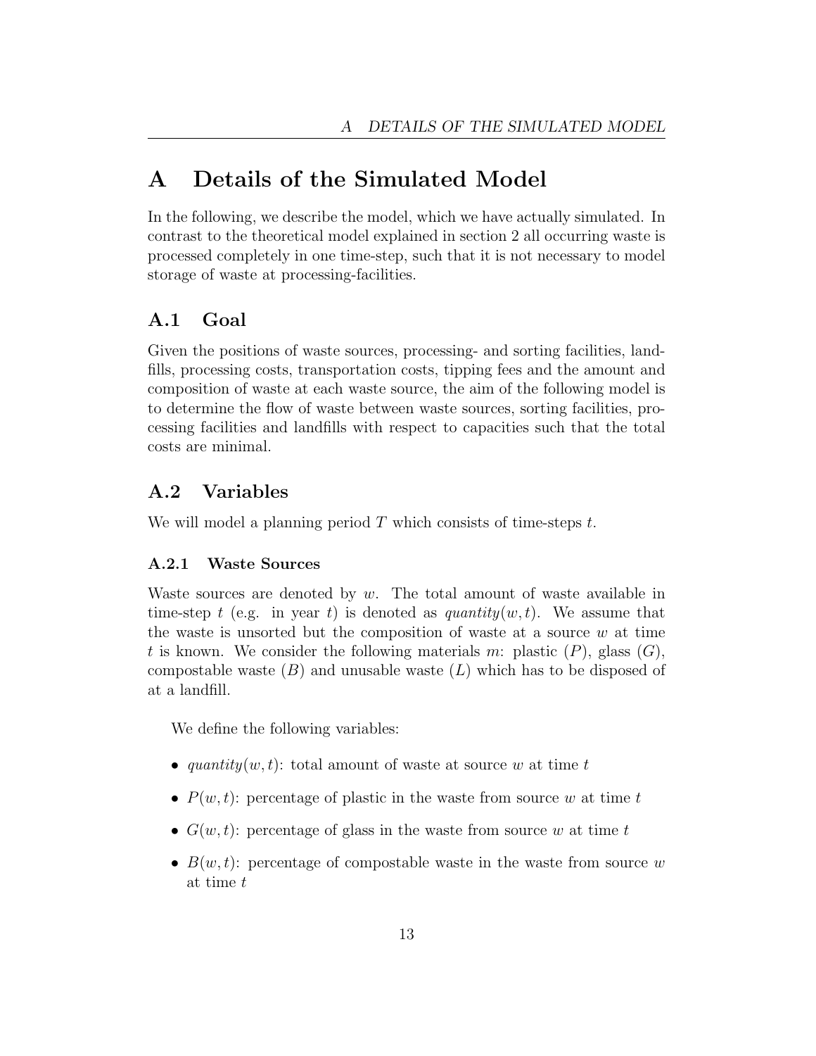## <span id="page-12-0"></span>A Details of the Simulated Model

In the following, we describe the model, which we have actually simulated. In contrast to the theoretical model explained in section 2 all occurring waste is processed completely in one time-step, such that it is not necessary to model storage of waste at processing-facilities.

### <span id="page-12-1"></span>A.1 Goal

Given the positions of waste sources, processing- and sorting facilities, landfills, processing costs, transportation costs, tipping fees and the amount and composition of waste at each waste source, the aim of the following model is to determine the flow of waste between waste sources, sorting facilities, processing facilities and landfills with respect to capacities such that the total costs are minimal.

## <span id="page-12-2"></span>A.2 Variables

We will model a planning period  $T$  which consists of time-steps  $t$ .

### <span id="page-12-3"></span>A.2.1 Waste Sources

Waste sources are denoted by  $w$ . The total amount of waste available in time-step t (e.g. in year t) is denoted as  $quantity(w, t)$ . We assume that the waste is unsorted but the composition of waste at a source  $w$  at time t is known. We consider the following materials m: plastic  $(P)$ , glass  $(G)$ , compostable waste  $(B)$  and unusable waste  $(L)$  which has to be disposed of at a landfill.

We define the following variables:

- quantity $(w, t)$ : total amount of waste at source w at time t
- $P(w, t)$ : percentage of plastic in the waste from source w at time t
- $G(w, t)$ : percentage of glass in the waste from source w at time t
- $B(w, t)$ : percentage of compostable waste in the waste from source w at time t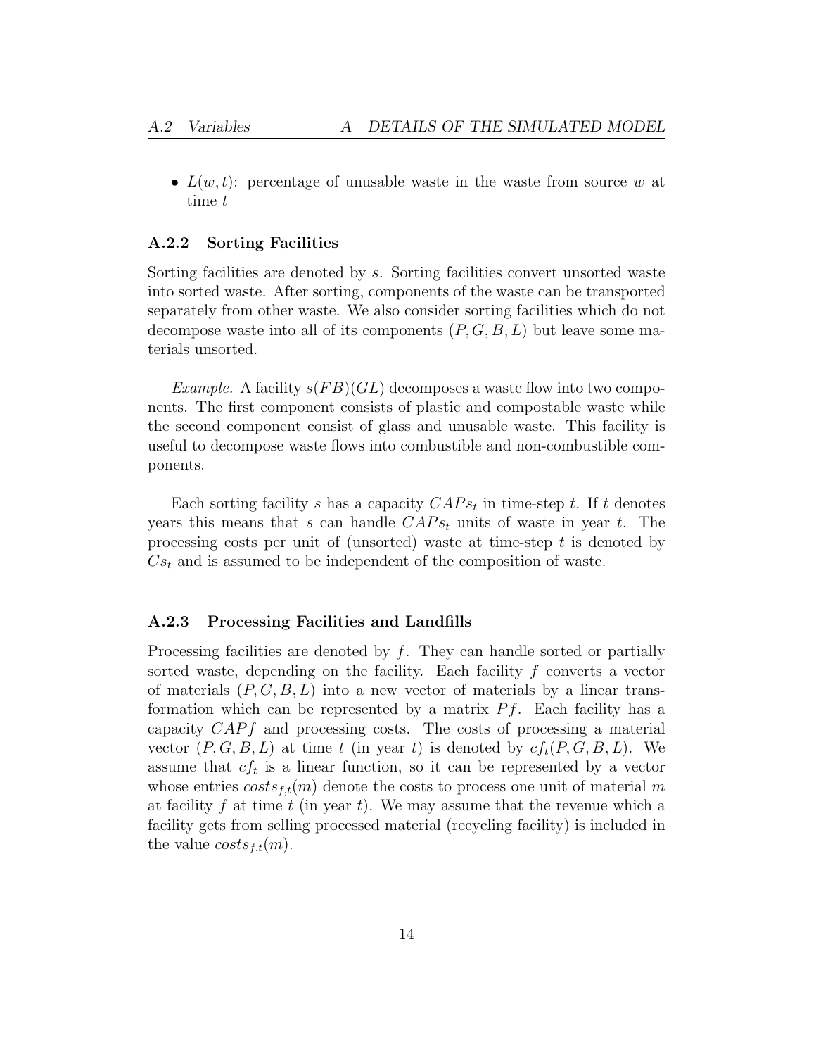•  $L(w, t)$ : percentage of unusable waste in the waste from source w at time t

#### <span id="page-13-0"></span>A.2.2 Sorting Facilities

Sorting facilities are denoted by s. Sorting facilities convert unsorted waste into sorted waste. After sorting, components of the waste can be transported separately from other waste. We also consider sorting facilities which do not decompose waste into all of its components  $(P, G, B, L)$  but leave some materials unsorted.

*Example.* A facility  $s(FB)(GL)$  decomposes a waste flow into two components. The first component consists of plastic and compostable waste while the second component consist of glass and unusable waste. This facility is useful to decompose waste flows into combustible and non-combustible components.

Each sorting facility s has a capacity  $CAPs_t$  in time-step t. If t denotes years this means that s can handle  $CAP_{st}$  units of waste in year t. The processing costs per unit of (unsorted) waste at time-step  $t$  is denoted by  $Cs_t$  and is assumed to be independent of the composition of waste.

#### <span id="page-13-1"></span>A.2.3 Processing Facilities and Landfills

Processing facilities are denoted by  $f$ . They can handle sorted or partially sorted waste, depending on the facility. Each facility f converts a vector of materials  $(P, G, B, L)$  into a new vector of materials by a linear transformation which can be represented by a matrix  $Pf$ . Each facility has a capacity  $CAPf$  and processing costs. The costs of processing a material vector  $(P, G, B, L)$  at time t (in year t) is denoted by  $cf_t(P, G, B, L)$ . We assume that  $cf_t$  is a linear function, so it can be represented by a vector whose entries  $costs_{f,t}(m)$  denote the costs to process one unit of material m at facility f at time t (in year t). We may assume that the revenue which a facility gets from selling processed material (recycling facility) is included in the value  $costs_{f,t}(m)$ .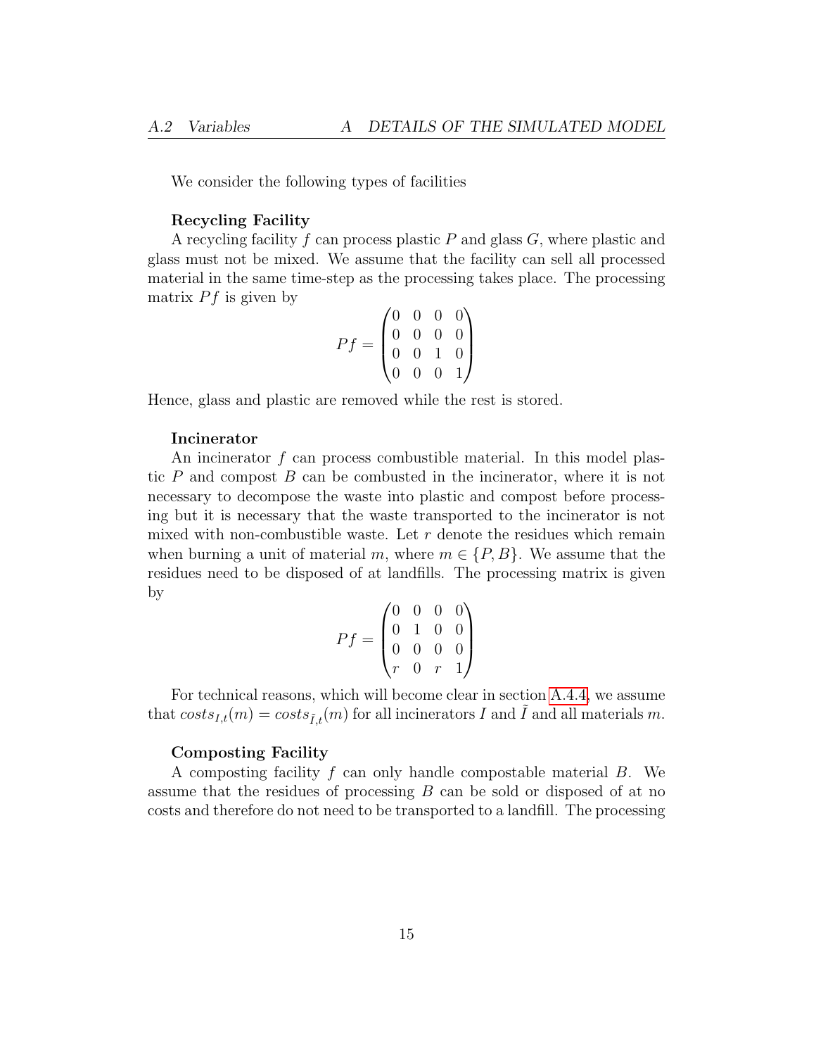We consider the following types of facilities

#### Recycling Facility

A recycling facility f can process plastic  $P$  and glass  $G$ , where plastic and glass must not be mixed. We assume that the facility can sell all processed material in the same time-step as the processing takes place. The processing matrix  $Pf$  is given by

$$
Pf = \begin{pmatrix} 0 & 0 & 0 & 0 \\ 0 & 0 & 0 & 0 \\ 0 & 0 & 1 & 0 \\ 0 & 0 & 0 & 1 \end{pmatrix}
$$

Hence, glass and plastic are removed while the rest is stored.

#### Incinerator

An incinerator  $f$  can process combustible material. In this model plastic  $P$  and compost  $B$  can be combusted in the incinerator, where it is not necessary to decompose the waste into plastic and compost before processing but it is necessary that the waste transported to the incinerator is not mixed with non-combustible waste. Let  $r$  denote the residues which remain when burning a unit of material m, where  $m \in \{P, B\}$ . We assume that the residues need to be disposed of at landfills. The processing matrix is given by

$$
Pf = \begin{pmatrix} 0 & 0 & 0 & 0 \\ 0 & 1 & 0 & 0 \\ 0 & 0 & 0 & 0 \\ r & 0 & r & 1 \end{pmatrix}
$$

For technical reasons, which will become clear in section [A.4.4,](#page-18-0) we assume that  $costs_{I,t}(m) = costs_{\tilde{I},t}(m)$  for all incinerators I and  $\tilde{I}$  and all materials m.

#### Composting Facility

A composting facility f can only handle compostable material B. We assume that the residues of processing B can be sold or disposed of at no costs and therefore do not need to be transported to a landfill. The processing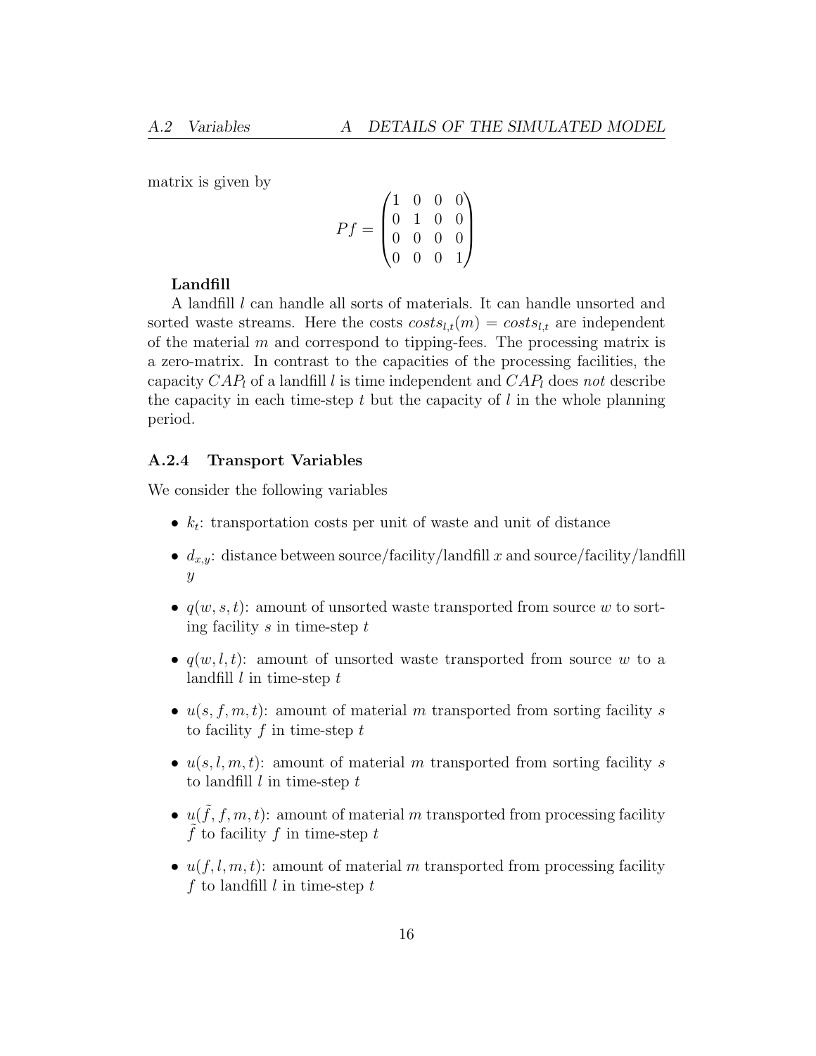matrix is given by

$$
Pf = \begin{pmatrix} 1 & 0 & 0 & 0 \\ 0 & 1 & 0 & 0 \\ 0 & 0 & 0 & 0 \\ 0 & 0 & 0 & 1 \end{pmatrix}
$$

#### Landfill

A landfill *l* can handle all sorts of materials. It can handle unsorted and sorted waste streams. Here the costs  $cost_{i,t}(m) = cost_{i,t}$  are independent of the material  $m$  and correspond to tipping-fees. The processing matrix is a zero-matrix. In contrast to the capacities of the processing facilities, the capacity  $CAP_l$  of a landfill l is time independent and  $CAP_l$  does not describe the capacity in each time-step  $t$  but the capacity of  $l$  in the whole planning period.

#### <span id="page-15-0"></span>A.2.4 Transport Variables

We consider the following variables

- $k_t$ : transportation costs per unit of waste and unit of distance
- $d_{x,y}$ : distance between source/facility/landfill x and source/facility/landfill  $\hat{y}$
- $q(w, s, t)$ : amount of unsorted waste transported from source w to sorting facility  $s$  in time-step  $t$
- $q(w, l, t)$ : amount of unsorted waste transported from source w to a landfill  $l$  in time-step  $t$
- $u(s, f, m, t)$ : amount of material m transported from sorting facility s to facility  $f$  in time-step  $t$
- $u(s, l, m, t)$ : amount of material m transported from sorting facility s to landfill  $l$  in time-step  $t$
- $u(\tilde{f}, f, m, t)$ : amount of material m transported from processing facility  $\hat{f}$  to facility  $f$  in time-step  $t$
- $u(f, l, m, t)$ : amount of material m transported from processing facility f to landfill  $l$  in time-step  $t$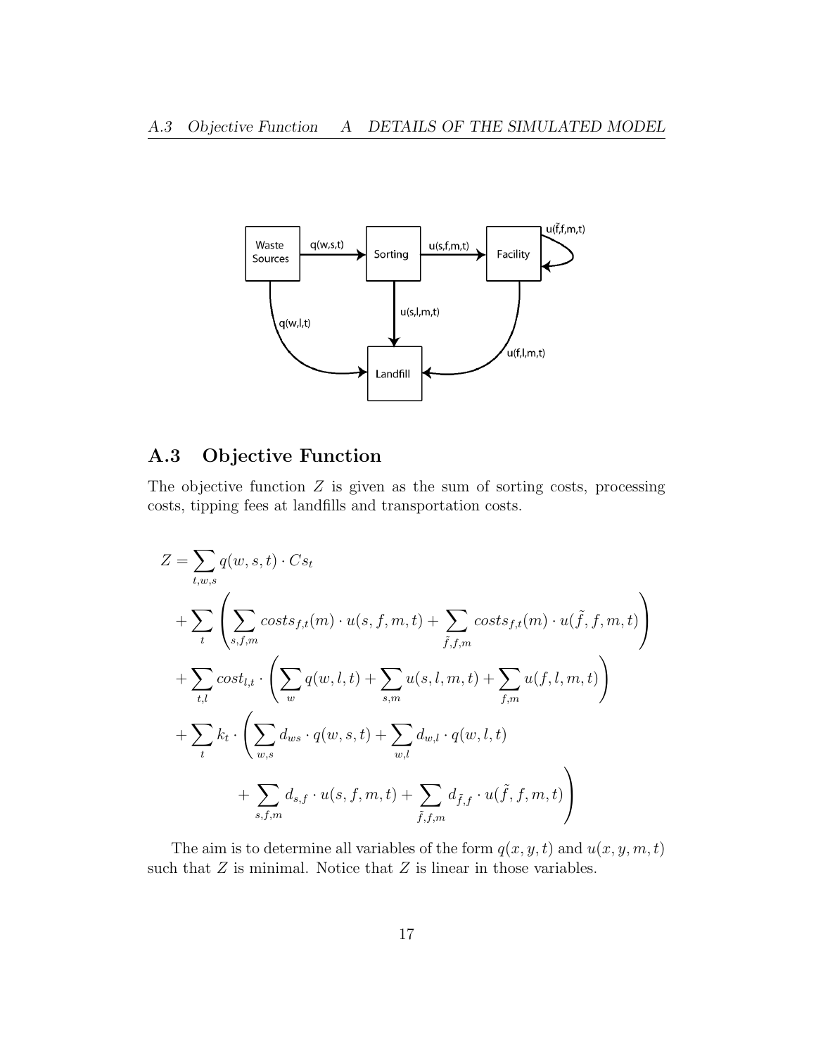

## <span id="page-16-0"></span>A.3 Objective Function

The objective function  $Z$  is given as the sum of sorting costs, processing costs, tipping fees at landfills and transportation costs.

$$
Z = \sum_{t,w,s} q(w,s,t) \cdot Cs_t
$$
  
+ 
$$
\sum_{t} \left( \sum_{s,f,m} costs_{f,t}(m) \cdot u(s,f,m,t) + \sum_{\tilde{f},f,m} costs_{f,t}(m) \cdot u(\tilde{f},f,m,t) \right)
$$
  
+ 
$$
\sum_{t,l} cost_{l,t} \cdot \left( \sum_{w} q(w,l,t) + \sum_{s,m} u(s,l,m,t) + \sum_{f,m} u(f,l,m,t) \right)
$$
  
+ 
$$
\sum_{t} k_t \cdot \left( \sum_{w,s} d_{ws} \cdot q(w,s,t) + \sum_{w,l} d_{w,l} \cdot q(w,l,t) + \sum_{s,f,m} d_{s,f} \cdot u(s,f,m,t) + \sum_{\tilde{f},f,m} d_{\tilde{f},f} \cdot u(\tilde{f},f,m,t) \right)
$$

The aim is to determine all variables of the form  $q(x, y, t)$  and  $u(x, y, m, t)$ such that  $Z$  is minimal. Notice that  $Z$  is linear in those variables.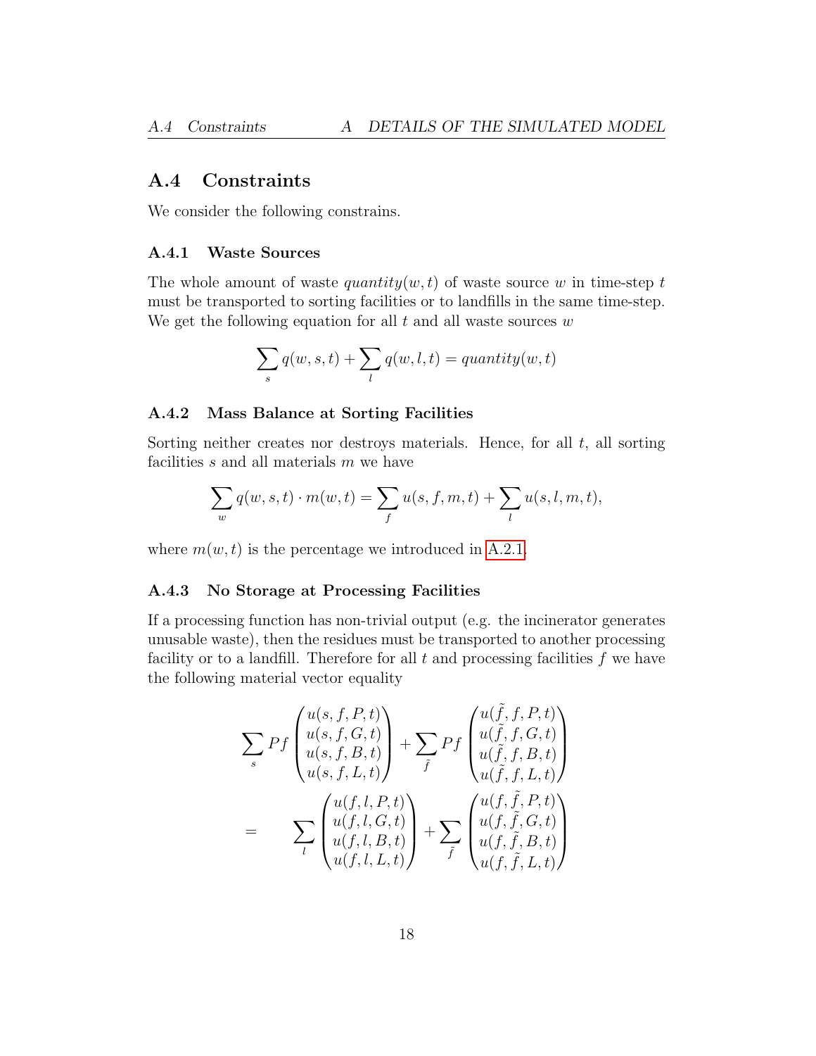### <span id="page-17-0"></span>A.4 Constraints

We consider the following constrains.

#### <span id="page-17-1"></span>A.4.1 Waste Sources

The whole amount of waste *quantity* $(w, t)$  of waste source w in time-step t must be transported to sorting facilities or to landfills in the same time-step. We get the following equation for all  $t$  and all waste sources  $w$ 

$$
\sum_{s} q(w, s, t) + \sum_{l} q(w, l, t) = quantity(w, t)
$$

#### <span id="page-17-2"></span>A.4.2 Mass Balance at Sorting Facilities

Sorting neither creates nor destroys materials. Hence, for all  $t$ , all sorting facilities  $s$  and all materials  $m$  we have

$$
\sum_w q(w,s,t)\cdot m(w,t)=\sum_f u(s,f,m,t)+\sum_l u(s,l,m,t),
$$

where  $m(w, t)$  is the percentage we introduced in [A.2.1.](#page-12-3)

#### <span id="page-17-3"></span>A.4.3 No Storage at Processing Facilities

If a processing function has non-trivial output (e.g. the incinerator generates unusable waste), then the residues must be transported to another processing facility or to a landfill. Therefore for all  $t$  and processing facilities  $f$  we have the following material vector equality

$$
\sum_{s} Pf \begin{pmatrix} u(s, f, P, t) \\ u(s, f, G, t) \\ u(s, f, B, t) \\ u(s, f, L, t) \end{pmatrix} + \sum_{\tilde{f}} Pf \begin{pmatrix} u(\tilde{f}, f, P, t) \\ u(\tilde{f}, f, G, t) \\ u(\tilde{f}, f, B, t) \\ u(\tilde{f}, f, L, t) \end{pmatrix}
$$

$$
= \sum_{l} \begin{pmatrix} u(f, l, P, t) \\ u(f, l, G, t) \\ u(f, l, B, t) \\ u(f, l, L, t) \end{pmatrix} + \sum_{\tilde{f}} \begin{pmatrix} u(f, \tilde{f}, P, t) \\ u(f, \tilde{f}, G, t) \\ u(f, \tilde{f}, B, t) \\ u(f, \tilde{f}, L, t) \end{pmatrix}
$$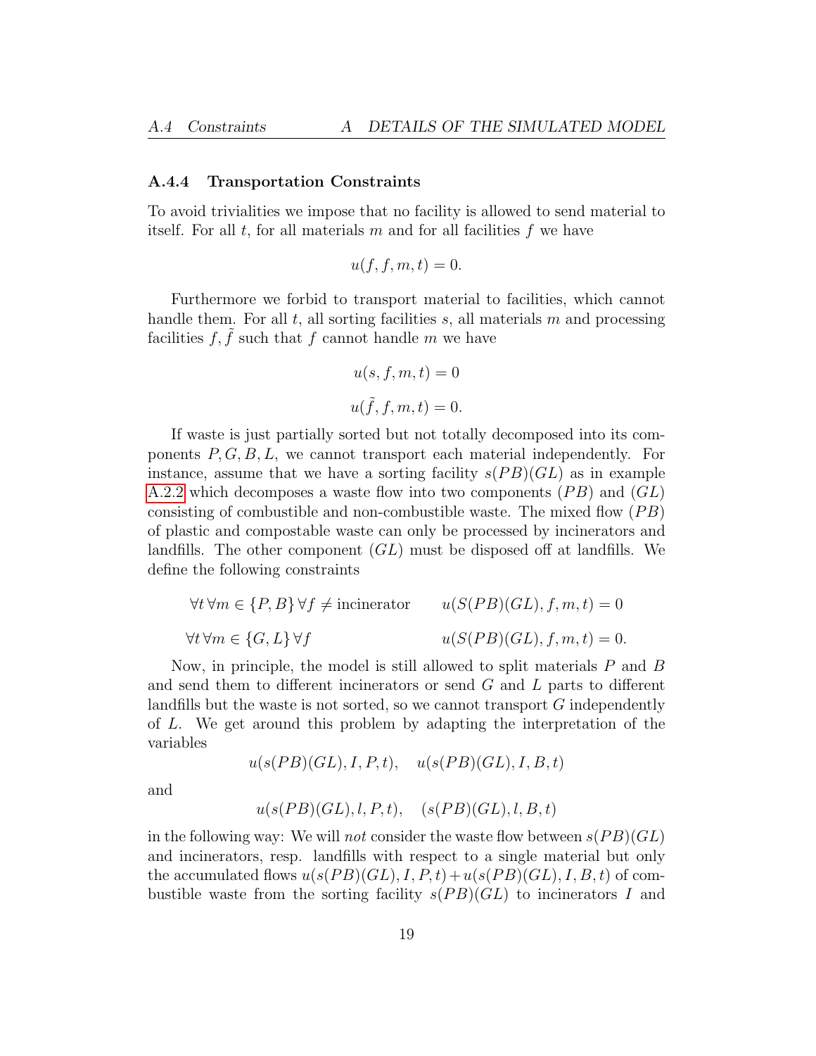#### <span id="page-18-0"></span>A.4.4 Transportation Constraints

To avoid trivialities we impose that no facility is allowed to send material to itself. For all  $t$ , for all materials  $m$  and for all facilities  $f$  we have

$$
u(f, f, m, t) = 0.
$$

Furthermore we forbid to transport material to facilities, which cannot handle them. For all  $t$ , all sorting facilities  $s$ , all materials  $m$  and processing facilities f,  $\tilde{f}$  such that f cannot handle m we have

$$
u(s, f, m, t) = 0
$$
  

$$
u(\tilde{f}, f, m, t) = 0.
$$

If waste is just partially sorted but not totally decomposed into its components  $P, G, B, L$ , we cannot transport each material independently. For instance, assume that we have a sorting facility  $s(PB)(GL)$  as in example [A.2.2](#page-13-0) which decomposes a waste flow into two components  $(PB)$  and  $(GL)$ consisting of combustible and non-combustible waste. The mixed flow  $(PB)$ of plastic and compostable waste can only be processed by incinerators and landfills. The other component  $(GL)$  must be disposed off at landfills. We define the following constraints

$$
\forall t \forall m \in \{P, B\} \forall f \neq \text{ا} \quad u(S(PB)(GL), f, m, t) = 0
$$
  

$$
\forall t \forall m \in \{G, L\} \forall f \quad u(S(PB)(GL), f, m, t) = 0.
$$

Now, in principle, the model is still allowed to split materials P and B and send them to different incinerators or send G and L parts to different landfills but the waste is not sorted, so we cannot transport G independently of L. We get around this problem by adapting the interpretation of the variables

 $u(s(PB)(GL), I, P, t), \quad u(s(PB)(GL), I, B, t)$ 

and

$$
u(s(PB)(GL), l, P, t), \quad (s(PB)(GL), l, B, t)
$$

in the following way: We will *not* consider the waste flow between  $s(PB)(GL)$ and incinerators, resp. landfills with respect to a single material but only the accumulated flows  $u(s(PB)(GL), I, P, t)+u(s(PB)(GL), I, B, t)$  of combustible waste from the sorting facility  $s(PB)(GL)$  to incinerators I and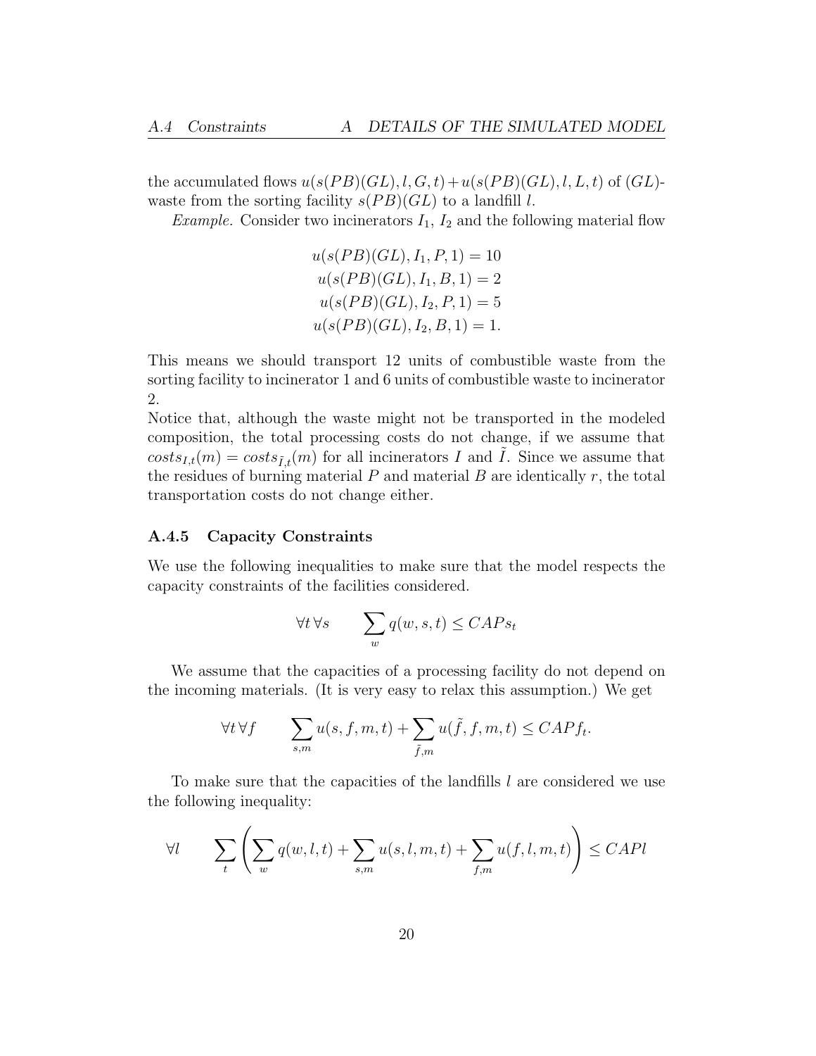the accumulated flows  $u(s(PB)(GL), l, G, t)+u(s(PB)(GL), l, L, t)$  of  $(GL)$ waste from the sorting facility  $s(PB)(GL)$  to a landfill l.

*Example.* Consider two incinerators  $I_1$ ,  $I_2$  and the following material flow

$$
u(s(PB)(GL), I_1, P, 1) = 10
$$
  
\n
$$
u(s(PB)(GL), I_1, B, 1) = 2
$$
  
\n
$$
u(s(PB)(GL), I_2, P, 1) = 5
$$
  
\n
$$
u(s(PB)(GL), I_2, B, 1) = 1.
$$

This means we should transport 12 units of combustible waste from the sorting facility to incinerator 1 and 6 units of combustible waste to incinerator 2.

Notice that, although the waste might not be transported in the modeled composition, the total processing costs do not change, if we assume that  $costs_{I,t}(m) = costs_{\tilde{L},t}(m)$  for all incinerators I and I. Since we assume that the residues of burning material  $P$  and material  $B$  are identically  $r$ , the total transportation costs do not change either.

#### <span id="page-19-0"></span>A.4.5 Capacity Constraints

We use the following inequalities to make sure that the model respects the capacity constraints of the facilities considered.

$$
\forall t\, \forall s\qquad \sum_w q(w,s,t) \leq CAPs_t
$$

We assume that the capacities of a processing facility do not depend on the incoming materials. (It is very easy to relax this assumption.) We get

$$
\forall t \,\forall f \qquad \sum_{s,m} u(s, f, m, t) + \sum_{\tilde{f},m} u(\tilde{f}, f, m, t) \leq CAPf_t.
$$

To make sure that the capacities of the landfills l are considered we use the following inequality:

$$
\forall l \qquad \sum_{t} \left( \sum_{w} q(w, l, t) + \sum_{s,m} u(s, l, m, t) + \sum_{f,m} u(f, l, m, t) \right) \leq CAPl
$$